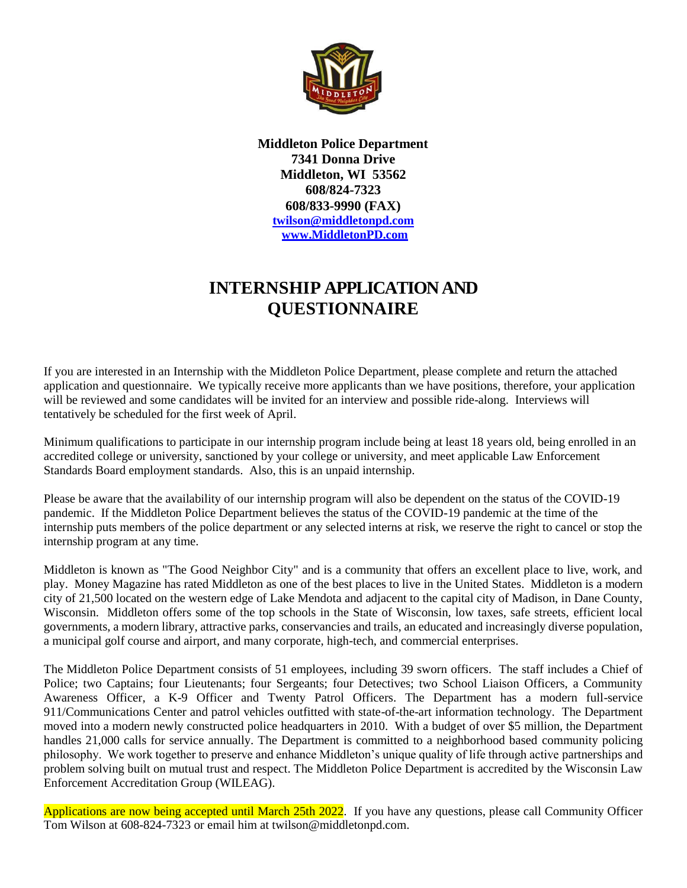

**Middleton Police Department 7341 Donna Drive Middleton, WI 53562 608/824-7323 608/833-9990 (FAX) [twilson@middletonpd.com](mailto:twilson@middletonpd.com) [www.MiddletonPD.com](http://www.middletonpd.com/)**

## **INTERNSHIP APPLICATION AND QUESTIONNAIRE**

If you are interested in an Internship with the Middleton Police Department, please complete and return the attached application and questionnaire. We typically receive more applicants than we have positions, therefore, your application will be reviewed and some candidates will be invited for an interview and possible ride-along. Interviews will tentatively be scheduled for the first week of April.

Minimum qualifications to participate in our internship program include being at least 18 years old, being enrolled in an accredited college or university, sanctioned by your college or university, and meet applicable Law Enforcement Standards Board employment standards. Also, this is an unpaid internship.

Please be aware that the availability of our internship program will also be dependent on the status of the COVID-19 pandemic. If the Middleton Police Department believes the status of the COVID-19 pandemic at the time of the internship puts members of the police department or any selected interns at risk, we reserve the right to cancel or stop the internship program at any time.

Middleton is known as "The Good Neighbor City" and is a community that offers an excellent place to live, work, and play. Money Magazine has rated Middleton as one of the best places to live in the United States. Middleton is a modern city of 21,500 located on the western edge of Lake Mendota and adjacent to the capital city of Madison, in Dane County, Wisconsin. Middleton offers some of the top schools in the State of Wisconsin, low taxes, safe streets, efficient local governments, a modern library, attractive parks, conservancies and trails, an educated and increasingly diverse population, a municipal golf course and airport, and many corporate, high-tech, and commercial enterprises.

The Middleton Police Department consists of 51 employees, including 39 sworn officers. The staff includes a Chief of Police; two Captains; four Lieutenants; four Sergeants; four Detectives; two School Liaison Officers, a Community Awareness Officer, a K-9 Officer and Twenty Patrol Officers. The Department has a modern full-service 911/Communications Center and patrol vehicles outfitted with state-of-the-art information technology. The Department moved into a modern newly constructed police headquarters in 2010. With a budget of over \$5 million, the Department handles 21,000 calls for service annually. The Department is committed to a neighborhood based community policing philosophy. We work together to preserve and enhance Middleton's unique quality of life through active partnerships and problem solving built on mutual trust and respect. The Middleton Police Department is accredited by the Wisconsin Law Enforcement Accreditation Group (WILEAG).

Applications are now being accepted until March 25th 2022. If you have any questions, please call Community Officer Tom Wilson at 608-824-7323 or email him at twilson@middletonpd.com.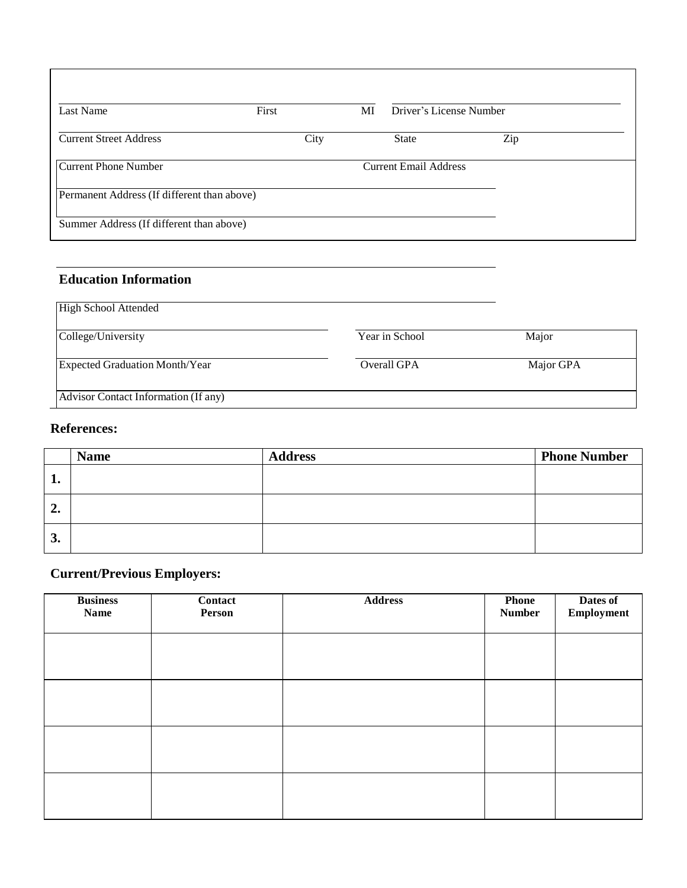| Last Name                                   | First | MI | Driver's License Number      |     |  |
|---------------------------------------------|-------|----|------------------------------|-----|--|
| <b>Current Street Address</b>               | City  |    | <b>State</b>                 | Zip |  |
| <b>Current Phone Number</b>                 |       |    | <b>Current Email Address</b> |     |  |
| Permanent Address (If different than above) |       |    |                              |     |  |
| Summer Address (If different than above)    |       |    |                              |     |  |

## **Education Information**

| <b>High School Attended</b>           |                |           |
|---------------------------------------|----------------|-----------|
| College/University                    | Year in School | Major     |
| <b>Expected Graduation Month/Year</b> | Overall GPA    | Major GPA |
| Advisor Contact Information (If any)  |                |           |

## **References:**

|                  | <b>Name</b> | <b>Address</b> | <b>Phone Number</b> |
|------------------|-------------|----------------|---------------------|
| л.               |             |                |                     |
| $\overline{2}$ . |             |                |                     |
| 3.               |             |                |                     |

## **Current/Previous Employers:**

| <b>Business</b><br><b>Name</b> | Contact<br>Person | <b>Address</b> | <b>Phone</b><br><b>Number</b> | Dates of<br>Employment |
|--------------------------------|-------------------|----------------|-------------------------------|------------------------|
|                                |                   |                |                               |                        |
|                                |                   |                |                               |                        |
|                                |                   |                |                               |                        |
|                                |                   |                |                               |                        |